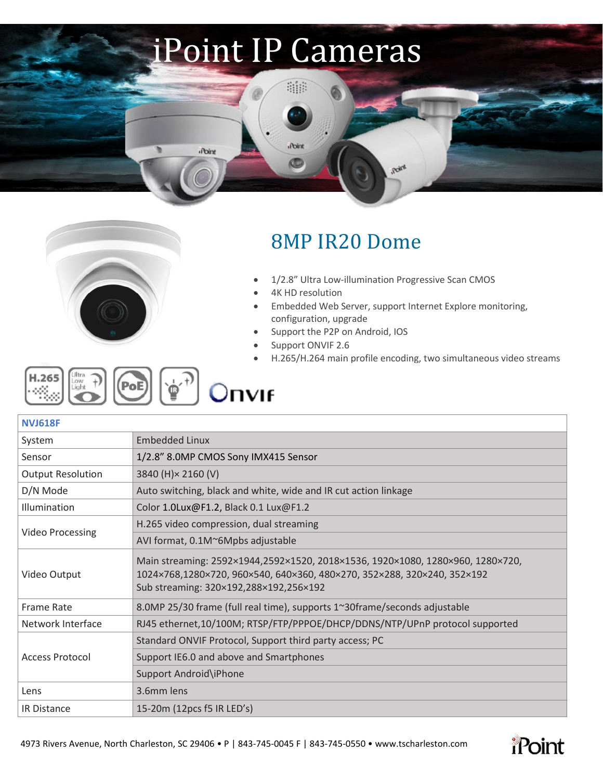## iPoint IP Cameras

an

Point

**CO** 

**iPoint** 



## 8MP IR20 Dome

- 1/2.8" Ultra Low-illumination Progressive Scan CMOS
- 4K HD resolution
- Embedded Web Server, support Internet Explore monitoring, configuration, upgrade

**Roley** 

- Support the P2P on Android, IOS
- Support ONVIF 2.6
- H.265/H.264 main profile encoding, two simultaneous video streams

| $\begin{bmatrix} \text{H.265} \\ \text{right} \end{bmatrix}$ $\begin{bmatrix} \text{thra} \\ \text{light} \end{bmatrix}$ $\begin{bmatrix} \text{PoE} \\ \text{p} \end{bmatrix}$ $\begin{bmatrix} \text{v}_0 + \text{r} \\ \text{p} \end{bmatrix}$<br>∐ Onvif |  |
|--------------------------------------------------------------------------------------------------------------------------------------------------------------------------------------------------------------------------------------------------------------|--|
|--------------------------------------------------------------------------------------------------------------------------------------------------------------------------------------------------------------------------------------------------------------|--|

| NVJ61 | 1 | ų |  |
|-------|---|---|--|
|       |   |   |  |

| 1/2.8" 8.0MP CMOS Sony IMX415 Sensor                                           |  |
|--------------------------------------------------------------------------------|--|
| 3840 (H) × 2160 (V)                                                            |  |
| Auto switching, black and white, wide and IR cut action linkage                |  |
|                                                                                |  |
|                                                                                |  |
|                                                                                |  |
| Main streaming: 2592×1944,2592×1520, 2018×1536, 1920×1080, 1280×960, 1280×720, |  |
|                                                                                |  |
| RJ45 ethernet,10/100M; RTSP/FTP/PPPOE/DHCP/DDNS/NTP/UPnP protocol supported    |  |
|                                                                                |  |
|                                                                                |  |
|                                                                                |  |
|                                                                                |  |
|                                                                                |  |
|                                                                                |  |